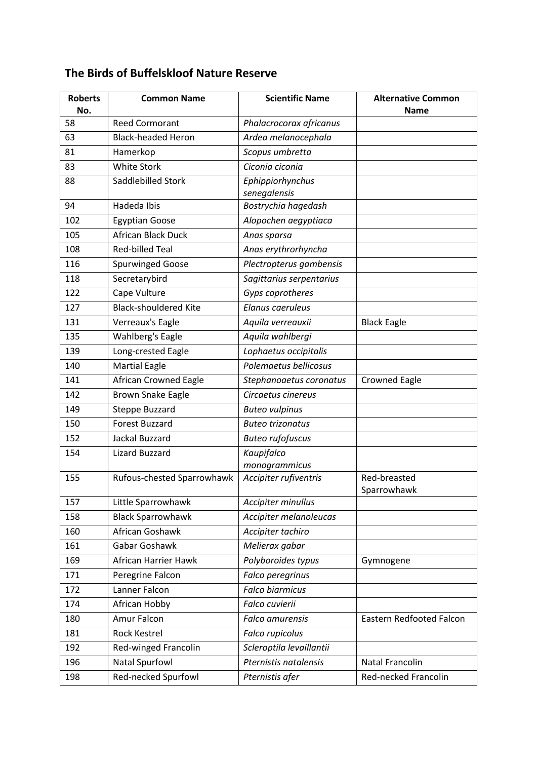## **The Birds of Buffelskloof Nature Reserve**

| <b>Roberts</b> | <b>Common Name</b>           | <b>Scientific Name</b>   | <b>Alternative Common</b> |
|----------------|------------------------------|--------------------------|---------------------------|
| No.            |                              |                          | <b>Name</b>               |
| 58             | <b>Reed Cormorant</b>        | Phalacrocorax africanus  |                           |
| 63             | <b>Black-headed Heron</b>    | Ardea melanocephala      |                           |
| 81             | Hamerkop                     | Scopus umbretta          |                           |
| 83             | <b>White Stork</b>           | Ciconia ciconia          |                           |
| 88             | Saddlebilled Stork           | Ephippiorhynchus         |                           |
|                |                              | senegalensis             |                           |
| 94             | Hadeda Ibis                  | Bostrychia hagedash      |                           |
| 102            | <b>Egyptian Goose</b>        | Alopochen aegyptiaca     |                           |
| 105            | African Black Duck           | Anas sparsa              |                           |
| 108            | <b>Red-billed Teal</b>       | Anas erythrorhyncha      |                           |
| 116            | Spurwinged Goose             | Plectropterus gambensis  |                           |
| 118            | Secretarybird                | Sagittarius serpentarius |                           |
| 122            | Cape Vulture                 | Gyps coprotheres         |                           |
| 127            | <b>Black-shouldered Kite</b> | Elanus caeruleus         |                           |
| 131            | Verreaux's Eagle             | Aquila verreauxii        | <b>Black Eagle</b>        |
| 135            | Wahlberg's Eagle             | Aquila wahlbergi         |                           |
| 139            | Long-crested Eagle           | Lophaetus occipitalis    |                           |
| 140            | <b>Martial Eagle</b>         | Polemaetus bellicosus    |                           |
| 141            | African Crowned Eagle        | Stephanoaetus coronatus  | <b>Crowned Eagle</b>      |
| 142            | <b>Brown Snake Eagle</b>     | Circaetus cinereus       |                           |
| 149            | <b>Steppe Buzzard</b>        | <b>Buteo vulpinus</b>    |                           |
| 150            | <b>Forest Buzzard</b>        | <b>Buteo trizonatus</b>  |                           |
| 152            | Jackal Buzzard               | <b>Buteo rufofuscus</b>  |                           |
| 154            | <b>Lizard Buzzard</b>        | Kaupifalco               |                           |
|                |                              | monogrammicus            |                           |
| 155            | Rufous-chested Sparrowhawk   | Accipiter rufiventris    | Red-breasted              |
|                |                              |                          | Sparrowhawk               |
| 157            | Little Sparrowhawk           | Accipiter minullus       |                           |
| 158            | <b>Black Sparrowhawk</b>     | Accipiter melanoleucas   |                           |
| 160            | African Goshawk              | Accipiter tachiro        |                           |
| 161            | Gabar Goshawk                | Melierax gabar           |                           |
| 169            | African Harrier Hawk         | Polyboroides typus       | Gymnogene                 |
| 171            | Peregrine Falcon             | Falco peregrinus         |                           |
| 172            | Lanner Falcon                | <b>Falco biarmicus</b>   |                           |
| 174            | African Hobby                | Falco cuvierii           |                           |
| 180            | Amur Falcon                  | Falco amurensis          | Eastern Redfooted Falcon  |
| 181            | <b>Rock Kestrel</b>          | Falco rupicolus          |                           |
| 192            | Red-winged Francolin         | Scleroptila levaillantii |                           |
| 196            | Natal Spurfowl               | Pternistis natalensis    | <b>Natal Francolin</b>    |
| 198            | Red-necked Spurfowl          | Pternistis afer          | Red-necked Francolin      |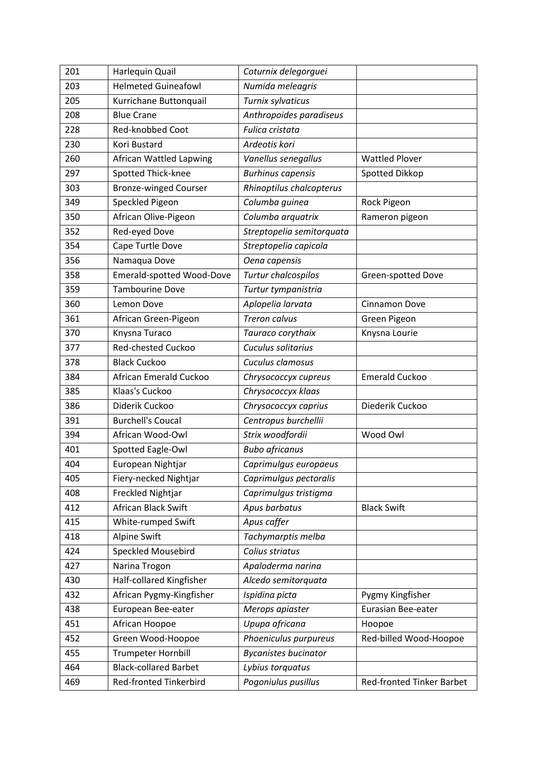| 201 | Harlequin Quail              | Coturnix delegorguei        |                           |
|-----|------------------------------|-----------------------------|---------------------------|
| 203 | <b>Helmeted Guineafowl</b>   | Numida meleagris            |                           |
| 205 | Kurrichane Buttonquail       | Turnix sylvaticus           |                           |
| 208 | <b>Blue Crane</b>            | Anthropoides paradiseus     |                           |
| 228 | Red-knobbed Coot             | Fulica cristata             |                           |
| 230 | Kori Bustard                 | Ardeotis kori               |                           |
| 260 | African Wattled Lapwing      | Vanellus senegallus         | <b>Wattled Plover</b>     |
| 297 | Spotted Thick-knee           | <b>Burhinus capensis</b>    | Spotted Dikkop            |
| 303 | <b>Bronze-winged Courser</b> | Rhinoptilus chalcopterus    |                           |
| 349 | Speckled Pigeon              | Columba guinea              | Rock Pigeon               |
| 350 | African Olive-Pigeon         | Columba arquatrix           | Rameron pigeon            |
| 352 | Red-eyed Dove                | Streptopelia semitorquata   |                           |
| 354 | Cape Turtle Dove             | Streptopelia capicola       |                           |
| 356 | Namaqua Dove                 | Oena capensis               |                           |
| 358 | Emerald-spotted Wood-Dove    | Turtur chalcospilos         | Green-spotted Dove        |
| 359 | <b>Tambourine Dove</b>       | Turtur tympanistria         |                           |
| 360 | Lemon Dove                   | Aplopelia larvata           | <b>Cinnamon Dove</b>      |
| 361 | African Green-Pigeon         | <b>Treron calvus</b>        | Green Pigeon              |
| 370 | Knysna Turaco                | Tauraco corythaix           | Knysna Lourie             |
| 377 | Red-chested Cuckoo           | Cuculus solitarius          |                           |
| 378 | <b>Black Cuckoo</b>          | Cuculus clamosus            |                           |
| 384 | African Emerald Cuckoo       | Chrysococcyx cupreus        | <b>Emerald Cuckoo</b>     |
| 385 | Klaas's Cuckoo               | Chrysococcyx klaas          |                           |
| 386 | Diderik Cuckoo               | Chrysococcyx caprius        | Diederik Cuckoo           |
| 391 | <b>Burchell's Coucal</b>     | Centropus burchellii        |                           |
| 394 | African Wood-Owl             | Strix woodfordii            | Wood Owl                  |
| 401 | Spotted Eagle-Owl            | <b>Bubo africanus</b>       |                           |
| 404 | European Nightjar            | Caprimulgus europaeus       |                           |
| 405 | Fiery-necked Nightjar        | Caprimulgus pectoralis      |                           |
| 408 | <b>Freckled Nightjar</b>     | Caprimulgus tristigma       |                           |
| 412 | African Black Swift          | Apus barbatus               | <b>Black Swift</b>        |
| 415 | White-rumped Swift           | Apus caffer                 |                           |
| 418 | <b>Alpine Swift</b>          | Tachymarptis melba          |                           |
| 424 | <b>Speckled Mousebird</b>    | Colius striatus             |                           |
| 427 | Narina Trogon                | Apaloderma narina           |                           |
| 430 | Half-collared Kingfisher     | Alcedo semitorquata         |                           |
| 432 | African Pygmy-Kingfisher     | Ispidina picta              | Pygmy Kingfisher          |
| 438 | European Bee-eater           | Merops apiaster             | Eurasian Bee-eater        |
| 451 | African Hoopoe               | Upupa africana              | Hoopoe                    |
| 452 | Green Wood-Hoopoe            | Phoeniculus purpureus       | Red-billed Wood-Hoopoe    |
| 455 | <b>Trumpeter Hornbill</b>    | <b>Bycanistes bucinator</b> |                           |
| 464 | <b>Black-collared Barbet</b> | Lybius torquatus            |                           |
| 469 | Red-fronted Tinkerbird       | Pogoniulus pusillus         | Red-fronted Tinker Barbet |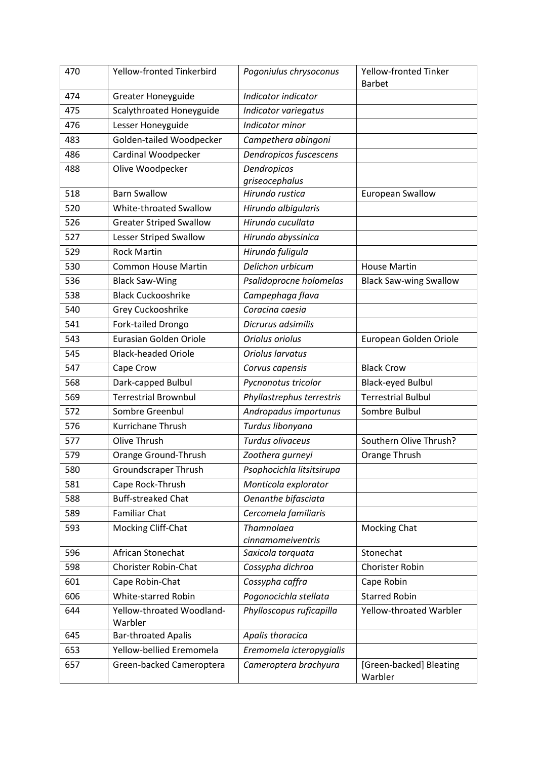| 470 | Yellow-fronted Tinkerbird      | Pogoniulus chrysoconus    | Yellow-fronted Tinker              |
|-----|--------------------------------|---------------------------|------------------------------------|
|     |                                |                           | <b>Barbet</b>                      |
| 474 | <b>Greater Honeyguide</b>      | Indicator indicator       |                                    |
| 475 | Scalythroated Honeyguide       | Indicator variegatus      |                                    |
| 476 | Lesser Honeyguide              | Indicator minor           |                                    |
| 483 | Golden-tailed Woodpecker       | Campethera abingoni       |                                    |
| 486 | Cardinal Woodpecker            | Dendropicos fuscescens    |                                    |
| 488 | Olive Woodpecker               | Dendropicos               |                                    |
|     |                                | <i>ariseocephalus</i>     |                                    |
| 518 | <b>Barn Swallow</b>            | Hirundo rustica           | <b>European Swallow</b>            |
| 520 | White-throated Swallow         | Hirundo albigularis       |                                    |
| 526 | <b>Greater Striped Swallow</b> | Hirundo cucullata         |                                    |
| 527 | Lesser Striped Swallow         | Hirundo abyssinica        |                                    |
| 529 | <b>Rock Martin</b>             | Hirundo fuligula          |                                    |
| 530 | <b>Common House Martin</b>     | Delichon urbicum          | <b>House Martin</b>                |
| 536 | <b>Black Saw-Wing</b>          | Psalidoprocne holomelas   | <b>Black Saw-wing Swallow</b>      |
| 538 | <b>Black Cuckooshrike</b>      | Campephaga flava          |                                    |
| 540 | Grey Cuckooshrike              | Coracina caesia           |                                    |
| 541 | Fork-tailed Drongo             | Dicrurus adsimilis        |                                    |
| 543 | Eurasian Golden Oriole         | Oriolus oriolus           | European Golden Oriole             |
| 545 | <b>Black-headed Oriole</b>     | Oriolus larvatus          |                                    |
| 547 | Cape Crow                      | Corvus capensis           | <b>Black Crow</b>                  |
| 568 | Dark-capped Bulbul             | Pycnonotus tricolor       | <b>Black-eyed Bulbul</b>           |
| 569 | <b>Terrestrial Brownbul</b>    | Phyllastrephus terrestris | <b>Terrestrial Bulbul</b>          |
| 572 | Sombre Greenbul                | Andropadus importunus     | Sombre Bulbul                      |
| 576 | Kurrichane Thrush              | Turdus libonyana          |                                    |
| 577 | Olive Thrush                   | Turdus olivaceus          | Southern Olive Thrush?             |
| 579 | Orange Ground-Thrush           | Zoothera gurneyi          | Orange Thrush                      |
| 580 | <b>Groundscraper Thrush</b>    | Psophocichla litsitsirupa |                                    |
| 581 | Cape Rock-Thrush               | Monticola explorator      |                                    |
| 588 | <b>Buff-streaked Chat</b>      | Oenanthe bifasciata       |                                    |
| 589 | <b>Familiar Chat</b>           | Cercomela familiaris      |                                    |
| 593 | Mocking Cliff-Chat             | <b>Thamnolaea</b>         | <b>Mocking Chat</b>                |
|     |                                | cinnamomeiventris         |                                    |
| 596 | African Stonechat              | Saxicola torquata         | Stonechat                          |
| 598 | <b>Chorister Robin-Chat</b>    | Cossypha dichroa          | <b>Chorister Robin</b>             |
| 601 | Cape Robin-Chat                | Cossypha caffra           | Cape Robin                         |
| 606 | White-starred Robin            | Pogonocichla stellata     | <b>Starred Robin</b>               |
| 644 | Yellow-throated Woodland-      | Phylloscopus ruficapilla  | Yellow-throated Warbler            |
|     | Warbler                        |                           |                                    |
| 645 | <b>Bar-throated Apalis</b>     | Apalis thoracica          |                                    |
| 653 | Yellow-bellied Eremomela       | Eremomela icteropygialis  |                                    |
| 657 | Green-backed Cameroptera       | Cameroptera brachyura     | [Green-backed] Bleating<br>Warbler |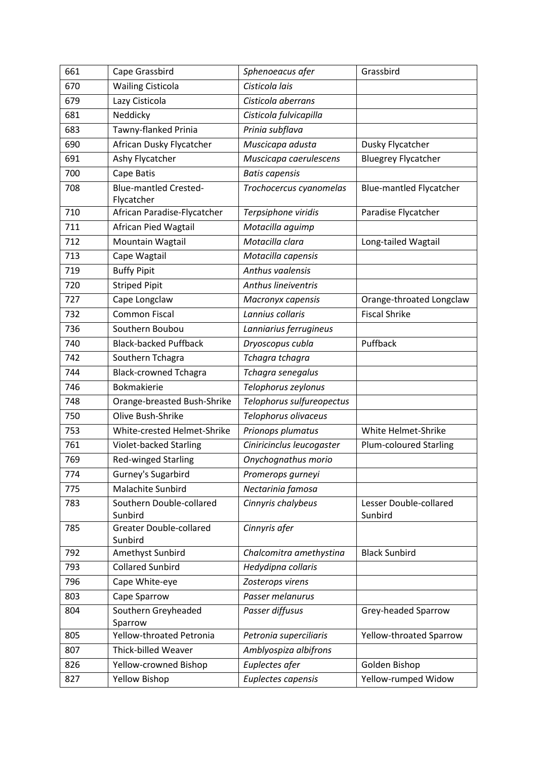| 661 | Cape Grassbird                             | Sphenoeacus afer          | Grassbird                         |
|-----|--------------------------------------------|---------------------------|-----------------------------------|
| 670 | <b>Wailing Cisticola</b>                   | Cisticola lais            |                                   |
| 679 | Lazy Cisticola                             | Cisticola aberrans        |                                   |
| 681 | Neddicky                                   | Cisticola fulvicapilla    |                                   |
| 683 | Tawny-flanked Prinia                       | Prinia subflava           |                                   |
| 690 | African Dusky Flycatcher                   | Muscicapa adusta          | Dusky Flycatcher                  |
| 691 | Ashy Flycatcher                            | Muscicapa caerulescens    | <b>Bluegrey Flycatcher</b>        |
| 700 | Cape Batis                                 | <b>Batis capensis</b>     |                                   |
| 708 | <b>Blue-mantled Crested-</b><br>Flycatcher | Trochocercus cyanomelas   | <b>Blue-mantled Flycatcher</b>    |
| 710 | African Paradise-Flycatcher                | Terpsiphone viridis       | Paradise Flycatcher               |
| 711 | African Pied Wagtail                       | Motacilla aguimp          |                                   |
| 712 | Mountain Wagtail                           | Motacilla clara           | Long-tailed Wagtail               |
| 713 | Cape Wagtail                               | Motacilla capensis        |                                   |
| 719 | <b>Buffy Pipit</b>                         | Anthus vaalensis          |                                   |
| 720 | <b>Striped Pipit</b>                       | Anthus lineiventris       |                                   |
| 727 | Cape Longclaw                              | Macronyx capensis         | Orange-throated Longclaw          |
| 732 | <b>Common Fiscal</b>                       | Lannius collaris          | <b>Fiscal Shrike</b>              |
| 736 | Southern Boubou                            | Lanniarius ferrugineus    |                                   |
| 740 | <b>Black-backed Puffback</b>               | Dryoscopus cubla          | Puffback                          |
| 742 | Southern Tchagra                           | Tchagra tchagra           |                                   |
| 744 | <b>Black-crowned Tchagra</b>               | Tchagra senegalus         |                                   |
| 746 | <b>Bokmakierie</b>                         | Telophorus zeylonus       |                                   |
| 748 | Orange-breasted Bush-Shrike                | Telophorus sulfureopectus |                                   |
| 750 | Olive Bush-Shrike                          | Telophorus olivaceus      |                                   |
| 753 | White-crested Helmet-Shrike                | Prionops plumatus         | White Helmet-Shrike               |
| 761 | <b>Violet-backed Starling</b>              | Ciniricinclus leucogaster | <b>Plum-coloured Starling</b>     |
| 769 | <b>Red-winged Starling</b>                 | Onychognathus morio       |                                   |
| 774 | Gurney's Sugarbird                         | Promerops gurneyi         |                                   |
| 775 | Malachite Sunbird                          | Nectarinia famosa         |                                   |
| 783 | Southern Double-collared<br>Sunbird        | Cinnyris chalybeus        | Lesser Double-collared<br>Sunbird |
| 785 | <b>Greater Double-collared</b><br>Sunbird  | Cinnyris afer             |                                   |
| 792 | Amethyst Sunbird                           | Chalcomitra amethystina   | <b>Black Sunbird</b>              |
| 793 | <b>Collared Sunbird</b>                    | Hedydipna collaris        |                                   |
| 796 | Cape White-eye                             | Zosterops virens          |                                   |
| 803 | Cape Sparrow                               | Passer melanurus          |                                   |
| 804 | Southern Greyheaded<br>Sparrow             | Passer diffusus           | Grey-headed Sparrow               |
| 805 | Yellow-throated Petronia                   | Petronia superciliaris    | Yellow-throated Sparrow           |
| 807 | <b>Thick-billed Weaver</b>                 | Amblyospiza albifrons     |                                   |
| 826 | Yellow-crowned Bishop                      | Euplectes afer            | Golden Bishop                     |
| 827 | <b>Yellow Bishop</b>                       | Euplectes capensis        | Yellow-rumped Widow               |